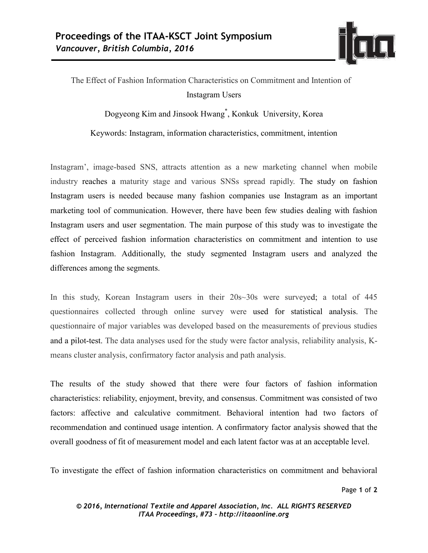

## The Effect of Fashion Information Characteristics on Commitment and Intention of Instagram Users

Dogyeong Kim and Jinsook Hwang\* , Konkuk University, Korea

Keywords: Instagram, information characteristics, commitment, intention

Instagram', image-based SNS, attracts attention as a new marketing channel when mobile industry reaches a maturity stage and various SNSs spread rapidly. The study on fashion Instagram users is needed because many fashion companies use Instagram as an important marketing tool of communication. However, there have been few studies dealing with fashion Instagram users and user segmentation. The main purpose of this study was to investigate the effect of perceived fashion information characteristics on commitment and intention to use fashion Instagram. Additionally, the study segmented Instagram users and analyzed the differences among the segments.

In this study, Korean Instagram users in their 20s~30s were surveyed; a total of 445 questionnaires collected through online survey were used for statistical analysis. The questionnaire of major variables was developed based on the measurements of previous studies and a pilot-test. The data analyses used for the study were factor analysis, reliability analysis, Kmeans cluster analysis, confirmatory factor analysis and path analysis.

The results of the study showed that there were four factors of fashion information characteristics: reliability, enjoyment, brevity, and consensus. Commitment was consisted of two factors: affective and calculative commitment. Behavioral intention had two factors of recommendation and continued usage intention. A confirmatory factor analysis showed that the overall goodness of fit of measurement model and each latent factor was at an acceptable level.

To investigate the effect of fashion information characteristics on commitment and behavioral

Page **1** of **2**